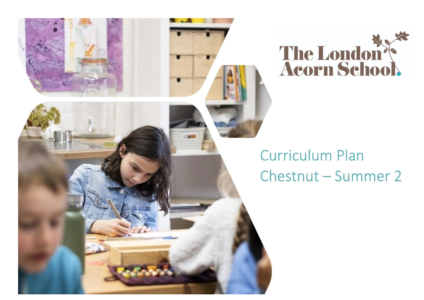

## **Curriculum Plan** Chestnut - Summer 2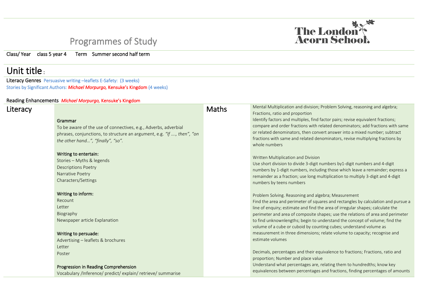## Programmes of Study

Class/ Year class 5 year 4 Term Summer second half term

## Unit title :

Literacy Genres Persuasive writing –leaflets E-Safety: (3 weeks) Stories by Significant Authors: *Michael Morpurgo,* Kensuke's Kingdom (4 weeks)

## Reading Enhancements *Michael Morpurgo,* Kensuke's Kingdom

| Literacy |                                                                                                                                                                                                                                                                                                                          | <b>Maths</b> | Mental Multiplication and division; Problem Solving, reasoning and algebra;<br>Fractions, ratio and proportion                                                                                                                                                                                                                                                                                                                                                                                                                                                                                                                                                                                                                                                                                                                                          |
|----------|--------------------------------------------------------------------------------------------------------------------------------------------------------------------------------------------------------------------------------------------------------------------------------------------------------------------------|--------------|---------------------------------------------------------------------------------------------------------------------------------------------------------------------------------------------------------------------------------------------------------------------------------------------------------------------------------------------------------------------------------------------------------------------------------------------------------------------------------------------------------------------------------------------------------------------------------------------------------------------------------------------------------------------------------------------------------------------------------------------------------------------------------------------------------------------------------------------------------|
|          | Grammar<br>To be aware of the use of connectives, e.g., Adverbs, adverbial<br>phrases, conjunctions, to structure an argument, e.g. "If , then", "on<br>the other hand", "finally", "so".<br>Writing to entertain:<br>Stories - Myths & legends<br><b>Descriptions Poetry</b><br>Narrative Poetry<br>Characters/Settings |              | Identify factors and multiples, find factor pairs; revise equivalent fractions;<br>compare and order fractions with related denominators; add fractions with same<br>or related denominators, then convert answer into a mixed number; subtract<br>fractions with same and related denominators, revise multiplying fractions by<br>whole numbers<br>Written Multiplication and Division<br>Use short division to divide 3-digit numbers by 1-digit numbers and 4-digit<br>numbers by 1-digit numbers, including those which leave a remainder; express a<br>remainder as a fraction; use long multiplication to multiply 3-digit and 4-digit<br>numbers by teens numbers                                                                                                                                                                               |
|          | Writing to inform:<br>Recount<br>Letter<br>Biography<br>Newspaper article Explanation<br>Writing to persuade:<br>Advertising - leaflets & brochures<br>Letter<br>Poster<br>Progression in Reading Comprehension<br>Vocabulary /Inference/ predict/ explain/ retrieve/ summarise                                          |              | Problem Solving. Reasoning and algebra; Measurement<br>Find the area and perimeter of squares and rectangles by calculation and pursue a<br>line of enquiry; estimate and find the area of irregular shapes; calculate the<br>perimeter and area of composite shapes; use the relations of area and perimeter<br>to find unknownlengths; begin to understand the concept of volume; find the<br>volume of a cube or cuboid by counting cubes; understand volume as<br>measurement in three dimensions; relate volume to capacity; recognise and<br>estimate volumes<br>Decimals, percentages and their equivalence to fractions; Fractions, ratio and<br>proportion; Number and place value<br>Understand what percentages are, relating them to hundredths; know key<br>equivalences between percentages and fractions, finding percentages of amounts |

The London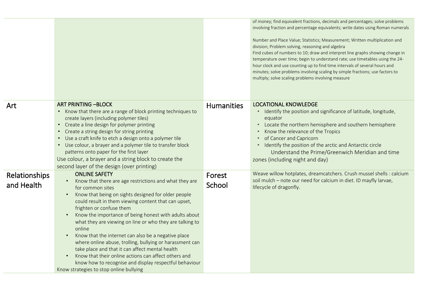|                             |                                                                                                                                                                                                                                                                                                                                                                                                                                                                                                                                                                                                                                                                                                                                                                     |                   | of money; find equivalent fractions, decimals and percentages; solve problems<br>involving fraction and percentage equivalents; write dates using Roman numerals<br>Number and Place Value; Statistics; Measurement; Written multiplication and<br>division; Problem solving, reasoning and algebra<br>Find cubes of numbers to 10; draw and interpret line graphs showing change in<br>temperature over time; begin to understand rate; use timetables using the 24-<br>hour clock and use counting up to find time intervals of several hours and<br>minutes; solve problems involving scaling by simple fractions; use factors to<br>multiply; solve scaling problems involving measure |
|-----------------------------|---------------------------------------------------------------------------------------------------------------------------------------------------------------------------------------------------------------------------------------------------------------------------------------------------------------------------------------------------------------------------------------------------------------------------------------------------------------------------------------------------------------------------------------------------------------------------------------------------------------------------------------------------------------------------------------------------------------------------------------------------------------------|-------------------|--------------------------------------------------------------------------------------------------------------------------------------------------------------------------------------------------------------------------------------------------------------------------------------------------------------------------------------------------------------------------------------------------------------------------------------------------------------------------------------------------------------------------------------------------------------------------------------------------------------------------------------------------------------------------------------------|
| Art                         | <b>ART PRINTING -BLOCK</b><br>• Know that there are a range of block printing techniques to<br>create layers (including polymer tiles)<br>• Create a line design for polymer printing<br>• Create a string design for string printing<br>• Use a craft knife to etch a design onto a polymer tile<br>• Use colour, a brayer and a polymer tile to transfer block<br>patterns onto paper for the first layer<br>Use colour, a brayer and a string block to create the<br>second layer of the design (over printing)                                                                                                                                                                                                                                                  | <b>Humanities</b> | <b>LOCATIONAL KNOWLEDGE</b><br>• Identify the position and significance of latitude, longitude,<br>equator<br>• Locate the northern hemisphere and southern hemisphere<br>Know the relevance of the Tropics<br>of Cancer and Capricorn<br>• Identify the position of the arctic and Antarctic circle<br>Understand the Prime/Greenwich Meridian and time<br>zones (including night and day)                                                                                                                                                                                                                                                                                                |
| Relationships<br>and Health | <b>ONLINE SAFETY</b><br>Know that there are age restrictions and what they are<br>for common sites<br>Know that being on sights designed for older people<br>$\bullet$<br>could result in them viewing content that can upset,<br>frighten or confuse them<br>Know the importance of being honest with adults about<br>$\bullet$<br>what they are viewing on line or who they are talking to<br>online<br>Know that the internet can also be a negative place<br>$\bullet$<br>where online abuse, trolling, bullying or harassment can<br>take place and that it can affect mental health<br>Know that their online actions can affect others and<br>$\bullet$<br>know how to recognise and display respectful behaviour<br>Know strategies to stop online bullying | Forest<br>School  | Weave willow hotplates, dreamcatchers. Crush mussel shells : calcium<br>soil mulch - note our need for calcium in diet. ID mayfly larvae,<br>lifecycle of dragonfly.                                                                                                                                                                                                                                                                                                                                                                                                                                                                                                                       |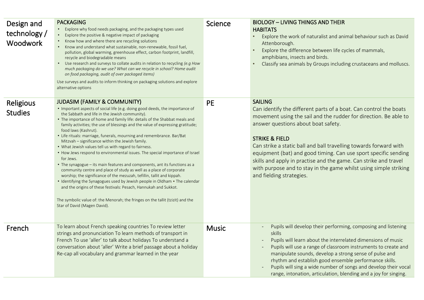| Design and<br>technology /<br><b>Woodwork</b> | <b>PACKAGING</b><br>• Explore why food needs packaging, and the packaging types used<br>Explore the positive & negative impact of packaging<br>Know how and where there are recycling solutions<br>• Know and understand what sustainable, non-renewable, fossil fuel,<br>pollution, global warming, greenhouse effect, carbon footprint, landfill,<br>recycle and biodegradable means<br>• Use research and surveys to collate audits in relation to recycling (e.g How<br>much packaging do we use? What can we recycle in school? Home audit<br>on food packaging, audit of over packaged items)<br>Use surveys and audits to inform thinking on packaging solutions and explore<br>alternative options                                                                                                                                                                                                                                                                                                                                                                                                                                               | <b>Science</b> | <b>BIOLOGY - LIVING THINGS AND THEIR</b><br><b>HABITATS</b><br>Explore the work of naturalist and animal behaviour such as David<br>$\bullet$<br>Attenborough.<br>Explore the difference between life cycles of mammals,<br>$\bullet$<br>amphibians, insects and birds.<br>Classify sea animals by Groups including crustaceans and molluscs.                                                                                                                                                                                            |
|-----------------------------------------------|----------------------------------------------------------------------------------------------------------------------------------------------------------------------------------------------------------------------------------------------------------------------------------------------------------------------------------------------------------------------------------------------------------------------------------------------------------------------------------------------------------------------------------------------------------------------------------------------------------------------------------------------------------------------------------------------------------------------------------------------------------------------------------------------------------------------------------------------------------------------------------------------------------------------------------------------------------------------------------------------------------------------------------------------------------------------------------------------------------------------------------------------------------|----------------|------------------------------------------------------------------------------------------------------------------------------------------------------------------------------------------------------------------------------------------------------------------------------------------------------------------------------------------------------------------------------------------------------------------------------------------------------------------------------------------------------------------------------------------|
| <b>Religious</b><br><b>Studies</b>            | <b>JUDASIM (FAMILY &amp; COMMUNITY)</b><br>• Important aspects of social life (e.g. doing good deeds, the importance of<br>the Sabbath and life in the Jewish community).<br>• The importance of home and family life: details of the Shabbat meals and<br>family activities; the use of blessings and the value of expressing gratitude;<br>food laws (Kashrut).<br>• Life rituals: marriage, funerals, mourning and remembrance. Bar/Bat<br>Mitzvah - significance within the Jewish family.<br>• What Jewish values tell us with regard to fairness.<br>• How Jews respond to environmental issues. The special importance of Israel<br>for Jews.<br>• The synagogue - its main features and components, ant its functions as a<br>community centre and place of study as well as a place of corporate<br>worship; the significance of the mezuzah, tefillin, tallit and kippah.<br>• Identifying the Synagogues used by Jewish people in Oldham • The calendar<br>and the origins of these festivals: Pesach, Hannukah and Sukkot.<br>The symbolic value of: the Menorah; the fringes on the tallit (tzizit) and the<br>Star of David (Magen David). | <b>PE</b>      | <b>SAILING</b><br>Can identify the different parts of a boat. Can control the boats<br>movement using the sail and the rudder for direction. Be able to<br>answer questions about boat safety.<br><b>STRIKE &amp; FIELD</b><br>Can strike a static ball and ball travelling towards forward with<br>equipment (bat) and good timing. Can use sport specific sending<br>skills and apply in practise and the game. Can strike and travel<br>with purpose and to stay in the game whilst using simple striking<br>and fielding strategies. |
| French                                        | To learn about French speaking countries To review letter<br>strings and pronunciation To learn methods of transport in<br>French To use 'aller' to talk about holidays To understand a<br>conversation about 'aller' Write a brief passage about a holiday<br>Re-cap all vocabulary and grammar learned in the year                                                                                                                                                                                                                                                                                                                                                                                                                                                                                                                                                                                                                                                                                                                                                                                                                                     | <b>Music</b>   | Pupils will develop their performing, composing and listening<br>skills<br>Pupils will learn about the interrelated dimensions of music<br>Pupils will use a range of classroom instruments to create and<br>manipulate sounds, develop a strong sense of pulse and<br>rhythm and establish good ensemble performance skills.<br>Pupils will sing a wide number of songs and develop their vocal<br>range, intonation, articulation, blending and a joy for singing.                                                                     |